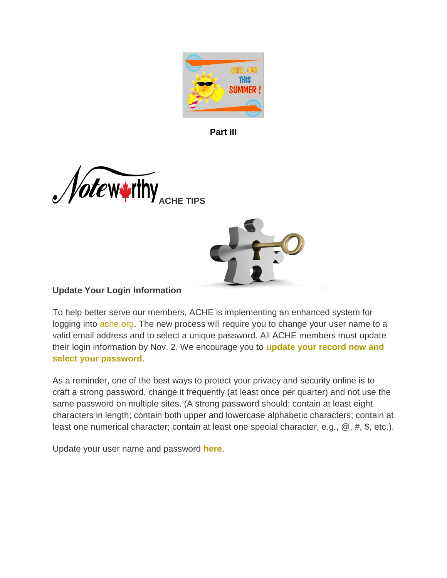

**Part III**





# **Update Your Login Information**

To help better serve our members, ACHE is implementing an enhanced system for logging into [ache.org.](http://www.mmsend53.com/link.cfm?r=284884120&sid=20443479&m=2254160&u=ACHE&j=11207661&s=http://www.ache.org?utm_source=real%20magnet&utm_medium=email&utm_term=wsmarcus@roadrunner.com&utm_content=ACHe-news%20-%208/31/12&utm_campaign=ACHe-news%20-%20August%2031,%202012) The new process will require you to change your user name to a valid email address and to select a unique password. All ACHE members must update their login information by Nov. 2. We encourage you to **[update your record now and](http://www.mmsend53.com/link.cfm?r=284884120&sid=20443482&m=2254160&u=ACHE&j=11207661&s=http://www.ache.org/signup/new.cfm?utm_source=real%20magnet&utm_medium=email&utm_term=wsmarcus@roadrunner.com&utm_content=ACHe-news%20-%208/31/12&utm_campaign=ACHe-news%20-%20August%2031,%202012)  [select your password](http://www.mmsend53.com/link.cfm?r=284884120&sid=20443482&m=2254160&u=ACHE&j=11207661&s=http://www.ache.org/signup/new.cfm?utm_source=real%20magnet&utm_medium=email&utm_term=wsmarcus@roadrunner.com&utm_content=ACHe-news%20-%208/31/12&utm_campaign=ACHe-news%20-%20August%2031,%202012)**.

As a reminder, one of the best ways to protect your privacy and security online is to craft a strong password, change it frequently (at least once per quarter) and not use the same password on multiple sites. (A strong password should: contain at least eight characters in length; contain both upper and lowercase alphabetic characters; contain at least one numerical character; contain at least one special character, e.g., @, #, \$, etc.).

Update your user name and password **[here](http://www.mmsend53.com/link.cfm?r=284884120&sid=20443484&m=2254160&u=ACHE&j=11207661&s=http://www.ache.org/signup/new.cfm?utm_source=real%20magnet&utm_medium=email&utm_term=wsmarcus@roadrunner.com&utm_content=ACHe-news%20-%208/31/12&utm_campaign=ACHe-news%20-%20August%2031,%202012)**.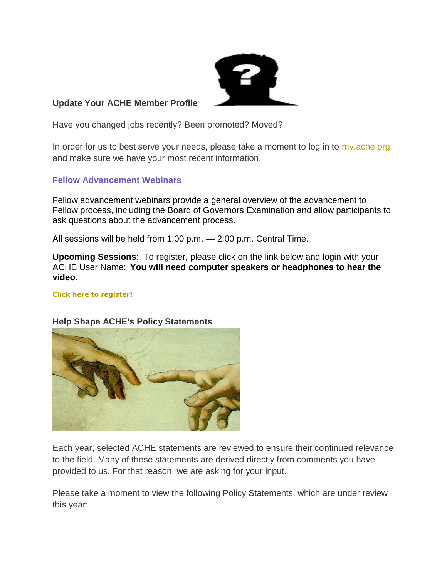

### **Update Your ACHE Member Profile**

Have you changed jobs recently? Been promoted? Moved?

In order for us to best serve your needs, please take a moment to log in to [my.ache.org](http://www.mmsend53.com/link.cfm?r=284884120&sid=19851509&m=2158105&u=ACHE&j=10826571&s=http://www.ache.org/newclub/myache/myache_launch.cfm?utm_source=real%20magnet&utm_medium=email&utm_term=wsmarcus@roadrunner.com&utm_content=ACHe-news%20-%207/19/12&utm_campaign=ACHe-news%20-%20July%2019,%202012) and make sure we have your most recent information.

### **Fellow Advancement Webinars**

Fellow advancement webinars provide a general overview of the advancement to Fellow process, including the Board of Governors Examination and allow participants to ask questions about the advancement process.

All sessions will be held from 1:00 p.m. — 2:00 p.m. Central Time.

**Upcoming Sessions**: To register, please click on the link below and login with your ACHE User Name: **You will need computer speakers or headphones to hear the video.**

#### **[Click here to register!](http://www.mmsend53.com/link.cfm?r=284884120&sid=20218834&m=2215713&u=ACHE&j=11068409&s=http://www.ache.org/mbership/credentialing/fellowadvance.cfm?utm_source=real%20magnet&utm_medium=email&utm_term=wsmarcus@roadrunner.com&utm_content=MEMB%20-%20AIS-SEP%208-16-2012&utm_campaign=Advancement%20Information%20Session%20Video%20Presentation)**



#### **Help Shape ACHE's Policy Statements**

Each year, selected ACHE statements are reviewed to ensure their continued relevance to the field. Many of these statements are derived directly from comments you have provided to us. For that reason, we are asking for your input.

Please take a moment to view the following Policy Statements, which are under review this year: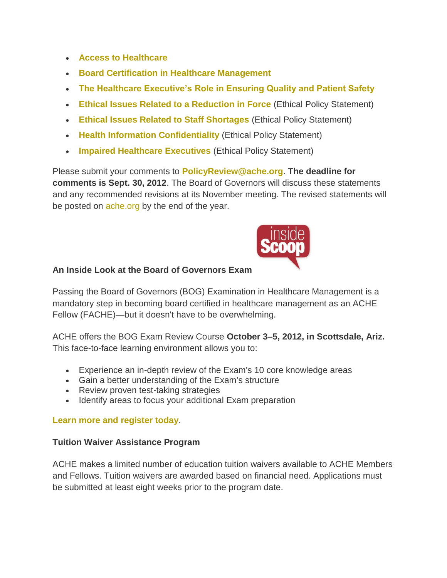- **[Access to Healthcare](http://www.mmsend53.com/link.cfm?r=284884120&sid=20443490&m=2254160&u=ACHE&j=11207661&s=http://www.ache.org/policy/access.cfm?utm_source=real%20magnet&utm_medium=email&utm_term=wsmarcus@roadrunner.com&utm_content=ACHe-news%20-%208/31/12&utm_campaign=ACHe-news%20-%20August%2031,%202012)**
- **[Board Certification in Healthcare Management](http://www.mmsend53.com/link.cfm?r=284884120&sid=20443491&m=2254160&u=ACHE&j=11207661&s=http://www.ache.org/policy/Bdcert.cfm?utm_source=real%20magnet&utm_medium=email&utm_term=wsmarcus@roadrunner.com&utm_content=ACHe-news%20-%208/31/12&utm_campaign=ACHe-news%20-%20August%2031,%202012)**
- **[The Healthcare Executive's Role in Ensuring Quality and Patient Safety](http://www.mmsend53.com/link.cfm?r=284884120&sid=20443492&m=2254160&u=ACHE&j=11207661&s=http://www.ache.org/policy/exec-ensure-patsafe.cfm?utm_source=real%20magnet&utm_medium=email&utm_term=wsmarcus@roadrunner.com&utm_content=ACHe-news%20-%208/31/12&utm_campaign=ACHe-news%20-%20August%2031,%202012)**
- **[Ethical Issues Related to a Reduction in Force](http://www.mmsend53.com/link.cfm?r=284884120&sid=20443493&m=2254160&u=ACHE&j=11207661&s=http://www.ache.org/policy/Downsize.cfm?utm_source=real%20magnet&utm_medium=email&utm_term=wsmarcus@roadrunner.com&utm_content=ACHe-news%20-%208/31/12&utm_campaign=ACHe-news%20-%20August%2031,%202012)** (Ethical Policy Statement)
- **[Ethical Issues Related to Staff Shortages](http://www.mmsend53.com/link.cfm?r=284884120&sid=20443494&m=2254160&u=ACHE&j=11207661&s=http://www.ache.org/policy/shortage.cfm?utm_source=real%20magnet&utm_medium=email&utm_term=wsmarcus@roadrunner.com&utm_content=ACHe-news%20-%208/31/12&utm_campaign=ACHe-news%20-%20August%2031,%202012)** (Ethical Policy Statement)
- **[Health Information Confidentiality](http://www.mmsend53.com/link.cfm?r=284884120&sid=20443495&m=2254160&u=ACHE&j=11207661&s=http://www.ache.org/policy/Hiconf.cfm?utm_source=real%20magnet&utm_medium=email&utm_term=wsmarcus@roadrunner.com&utm_content=ACHe-news%20-%208/31/12&utm_campaign=ACHe-news%20-%20August%2031,%202012)** (Ethical Policy Statement)
- **[Impaired Healthcare Executives](http://www.mmsend53.com/link.cfm?r=284884120&sid=20443496&m=2254160&u=ACHE&j=11207661&s=http://www.ache.org/policy/impaired.cfm?utm_source=real%20magnet&utm_medium=email&utm_term=wsmarcus@roadrunner.com&utm_content=ACHe-news%20-%208/31/12&utm_campaign=ACHe-news%20-%20August%2031,%202012)** (Ethical Policy Statement)

Please submit your comments to **[PolicyReview@ache.org](mailto:policyreview@ache.org)**. **The deadline for comments is Sept. 30, 2012**. The Board of Governors will discuss these statements and any recommended revisions at its November meeting. The revised statements will be posted on [ache.org](http://www.mmsend53.com/link.cfm?r=284884120&sid=20443497&m=2254160&u=ACHE&j=11207661&s=http://www.ache.org?utm_source=real%20magnet&utm_medium=email&utm_term=wsmarcus@roadrunner.com&utm_content=ACHe-news%20-%208/31/12&utm_campaign=ACHe-news%20-%20August%2031,%202012) by the end of the year.



## **An Inside Look at the Board of Governors Exam**

Passing the Board of Governors (BOG) Examination in Healthcare Management is a mandatory step in becoming board certified in healthcare management as an ACHE Fellow (FACHE)—but it doesn't have to be overwhelming.

ACHE offers the BOG Exam Review Course **October 3–5, 2012, in Scottsdale, Ariz.** This face-to-face learning environment allows you to:

- Experience an in-depth review of the Exam's 10 core knowledge areas
- Gain a better understanding of the Exam's structure
- Review proven test-taking strategies
- Identify areas to focus your additional Exam preparation

## **[Learn more and register today](http://www.mmsend53.com/link.cfm?r=284884120&sid=19851506&m=2158105&u=ACHE&j=10826571&s=http://www.ache.org/seminars/special/index.cfm?meet=BOGER12B&nav=1&subnav=4&utm_source=real%20magnet&utm_medium=email&utm_term=wsmarcus@roadrunner.com&utm_content=ACHe-news%20-%207/19/12&utm_campaign=ACHe-news%20-%20July%2019,%202012)**.

#### **Tuition Waiver Assistance Program**

ACHE makes a limited number of education tuition waivers available to ACHE Members and Fellows. Tuition waivers are awarded based on financial need. Applications must be submitted at least eight weeks prior to the program date.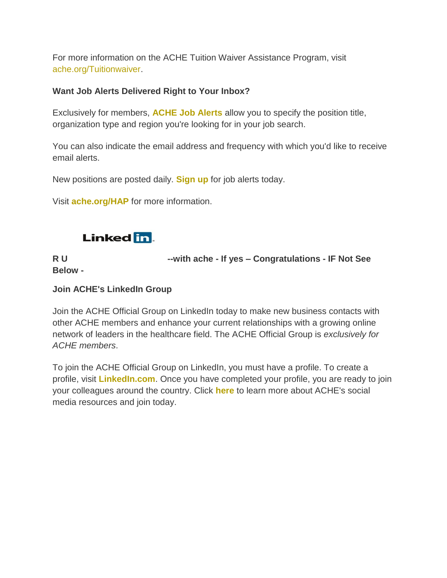For more information on the ACHE Tuition Waiver Assistance Program, visit [ache.org/Tuitionwaiver.](http://www.mmsend53.com/link.cfm?r=284884120&sid=19851507&m=2158105&u=ACHE&j=10826571&s=http://www.ache.org/apps/tuition_waiver/selectevent.cfm?utm_source=real%20magnet&utm_medium=email&utm_term=wsmarcus@roadrunner.com&utm_content=ACHe-news%20-%207/19/12&utm_campaign=ACHe-news%20-%20July%2019,%202012)

## **Want Job Alerts Delivered Right to Your Inbox?**

Exclusively for members, **[ACHE Job Alerts](http://www.mmsend53.com/link.cfm?r=284884120&sid=19658861&m=2121865&u=ACHE&j=10717936&s=http://www.ache.org/newclub/ache/jobs_v2/2006/job_alerts_options.cfm?utm_source=real%20magnet&utm_medium=email&utm_term=wsmarcus@roadrunner.com&utm_content=ACHe-news%20-%207/5/12&utm_campaign=ACHe-news%20-%20July%205,%202012)** allow you to specify the position title, organization type and region you're looking for in your job search.

You can also indicate the email address and frequency with which you'd like to receive email alerts.

New positions are posted daily. **[Sign up](http://www.mmsend53.com/link.cfm?r=284884120&sid=19658862&m=2121865&u=ACHE&j=10717936&s=http://www.ache.org/newclub/ache/jobs_v2/2006/job_alerts_options.cfm?utm_source=real%20magnet&utm_medium=email&utm_term=wsmarcus@roadrunner.com&utm_content=ACHe-news%20-%207/5/12&utm_campaign=ACHe-news%20-%20July%205,%202012)** for job alerts today.

Visit **[ache.org/HAP](http://www.mmsend53.com/link.cfm?r=284884120&sid=19286629&m=2039621&u=ACHE&j=10519437&s=http://www.ache.org/hap.cfm?utm_source=real%20magnet&utm_medium=email&utm_term=wsmarcus@roadrunner.com&utm_content=ACHe-news%20-%206/7/12&utm_campaign=ACHe-news%20-%20June%207,%202012)** for more information.



**R U --with ache - If yes – Congratulations - IF Not See Below -**

## **Join ACHE's LinkedIn Group**

Join the ACHE Official Group on LinkedIn today to make new business contacts with other ACHE members and enhance your current relationships with a growing online network of leaders in the healthcare field. The ACHE Official Group is *exclusively for ACHE members*.

To join the ACHE Official Group on LinkedIn, you must have a profile. To create a profile, visit **[LinkedIn.com](http://www.mmsend53.com/link.cfm?r=284884120&sid=19653901&m=2121865&u=ACHE&j=10717936&s=http://www.linkedin.com/)**. Once you have completed your profile, you are ready to join your colleagues around the country. Click **[here](http://www.mmsend53.com/link.cfm?r=284884120&sid=19658866&m=2121865&u=ACHE&j=10717936&s=http://www.ache.org/abt_ache/connect/socialnetwork.cfm?utm_source=real%20magnet&utm_medium=email&utm_term=wsmarcus@roadrunner.com&utm_content=ACHe-news%20-%207/5/12&utm_campaign=ACHe-news%20-%20July%205,%202012)** to learn more about ACHE's social media resources and join today.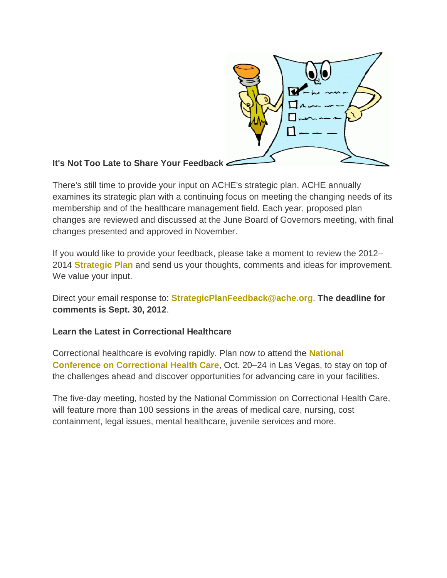

## **It's Not Too Late to Share Your Feedback**

There's still time to provide your input on ACHE's strategic plan. ACHE annually examines its strategic plan with a continuing focus on meeting the changing needs of its membership and of the healthcare management field. Each year, proposed plan changes are reviewed and discussed at the June Board of Governors meeting, with final changes presented and approved in November.

If you would like to provide your feedback, please take a moment to review the 2012– 2014 **[Strategic Plan](http://www.mmsend53.com/link.cfm?r=284884120&sid=20443486&m=2254160&u=ACHE&j=11207661&s=http://www.ache.org/abt_ache/mission_2012.cfm?utm_source=real%20magnet&utm_medium=email&utm_term=wsmarcus@roadrunner.com&utm_content=ACHe-news%20-%208/31/12&utm_campaign=ACHe-news%20-%20August%2031,%202012)** and send us your thoughts, comments and ideas for improvement. We value your input.

Direct your email response to: **[StrategicPlanFeedback@ache.org](mailto:StrategicPlanFeedback@ache.org)**. **The deadline for comments is Sept. 30, 2012**.

## **Learn the Latest in Correctional Healthcare**

Correctional healthcare is evolving rapidly. Plan now to attend the **[National](http://www.mmsend53.com/link.cfm?r=284884120&sid=20443498&m=2254160&u=ACHE&j=11207661&s=http://ncchcnationalconference.org/)  [Conference on Correctional Health Care](http://www.mmsend53.com/link.cfm?r=284884120&sid=20443498&m=2254160&u=ACHE&j=11207661&s=http://ncchcnationalconference.org/)**, Oct. 20–24 in Las Vegas, to stay on top of the challenges ahead and discover opportunities for advancing care in your facilities.

The five-day meeting, hosted by the National Commission on Correctional Health Care, will feature more than 100 sessions in the areas of medical care, nursing, cost containment, legal issues, mental healthcare, juvenile services and more.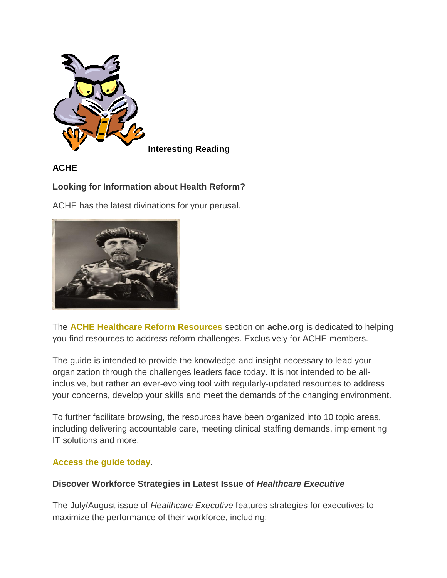

## **ACHE**

## **Looking for Information about Health Reform?**

ACHE has the latest divinations for your perusal.



The **[ACHE Healthcare Reform Resources](http://www.mmsend53.com/link.cfm?r=284884120&sid=20040770&m=2193114&u=ACHE&j=10949304&s=http://www.ache.org/mbership/sig/healthcarereform/index.cfm?utm_source=real%20magnet&utm_medium=email&utm_term=wsmarcus@roadrunner.com&utm_content=ACHe-news%20-%208/2/12&utm_campaign=ACHe-news%20-%20August%202,%202012)** section on **ache.org** is dedicated to helping you find resources to address reform challenges. Exclusively for ACHE members.

The guide is intended to provide the knowledge and insight necessary to lead your organization through the challenges leaders face today. It is not intended to be allinclusive, but rather an ever-evolving tool with regularly-updated resources to address your concerns, develop your skills and meet the demands of the changing environment.

To further facilitate browsing, the resources have been organized into 10 topic areas, including delivering accountable care, meeting clinical staffing demands, implementing IT solutions and more.

## **[Access the guide today](http://www.mmsend53.com/link.cfm?r=284884120&sid=20040771&m=2193114&u=ACHE&j=10949304&s=http://www.ache.org/mbership/sig/healthcarereform/index.cfm?utm_source=real%20magnet&utm_medium=email&utm_term=wsmarcus@roadrunner.com&utm_content=ACHe-news%20-%208/2/12&utm_campaign=ACHe-news%20-%20August%202,%202012)**.

## **Discover Workforce Strategies in Latest Issue of** *Healthcare Executive*

The July/August issue of *Healthcare Executive* features strategies for executives to maximize the performance of their workforce, including: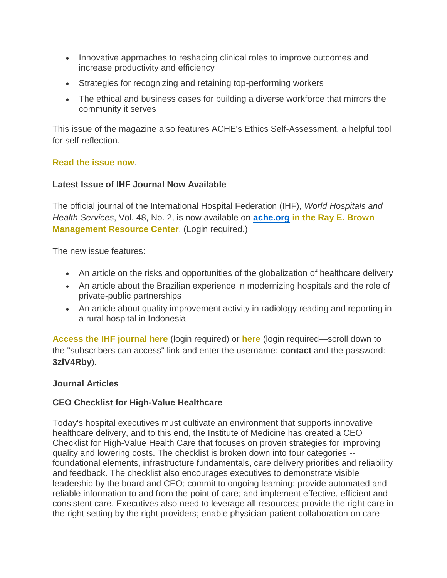- Innovative approaches to reshaping clinical roles to improve outcomes and increase productivity and efficiency
- Strategies for recognizing and retaining top-performing workers
- The ethical and business cases for building a diverse workforce that mirrors the community it serves

This issue of the magazine also features ACHE's Ethics Self-Assessment, a helpful tool for self-reflection.

### **[Read the issue now](http://www.mmsend53.com/link.cfm?r=284884120&sid=19658865&m=2121865&u=ACHE&j=10717936&s=http://www.ache.org/HEOnline/heonline_index.cfm?utm_source=real%20magnet&utm_medium=email&utm_term=wsmarcus@roadrunner.com&utm_content=ACHe-news%20-%207/5/12&utm_campaign=ACHe-news%20-%20July%205,%202012)**.

### **Latest Issue of IHF Journal Now Available**

The official journal of the International Hospital Federation (IHF), *World Hospitals and Health Services*, Vol. 48, No. 2, is now available on **ache.org [in the Ray E. Brown](http://www.mmsend53.com/link.cfm?r=284884120&sid=20040777&m=2193114&u=ACHE&j=10949304&s=http://www.ache.org/newclub/periodicals.cfm?utm_source=real%20magnet&utm_medium=email&utm_term=wsmarcus@roadrunner.com&utm_content=ACHe-news%20-%208/2/12&utm_campaign=ACHe-news%20-%20August%202,%202012)  [Management Resource Center](http://www.mmsend53.com/link.cfm?r=284884120&sid=20040777&m=2193114&u=ACHE&j=10949304&s=http://www.ache.org/newclub/periodicals.cfm?utm_source=real%20magnet&utm_medium=email&utm_term=wsmarcus@roadrunner.com&utm_content=ACHe-news%20-%208/2/12&utm_campaign=ACHe-news%20-%20August%202,%202012)**. (Login required.)

The new issue features:

- An article on the risks and opportunities of the globalization of healthcare delivery
- An article about the Brazilian experience in modernizing hospitals and the role of private-public partnerships
- An article about quality improvement activity in radiology reading and reporting in a rural hospital in Indonesia

**[Access the IHF journal here](http://www.mmsend53.com/link.cfm?r=284884120&sid=20040778&m=2193114&u=ACHE&j=10949304&s=http://www.ache.org/newclub/periodicals.cfm?utm_source=real%20magnet&utm_medium=email&utm_term=wsmarcus@roadrunner.com&utm_content=ACHe-news%20-%208/2/12&utm_campaign=ACHe-news%20-%20August%202,%202012)** (login required) or **[here](http://www.mmsend53.com/link.cfm?r=284884120&sid=20036156&m=2193114&u=ACHE&j=10949304&s=http://www.ihf-fih.org/Publications/Journals)** (login required—scroll down to the "subscribers can access" link and enter the username: **contact** and the password: **3zlV4Rby**).

#### **Journal Articles**

## **CEO Checklist for High-Value Healthcare**

Today's hospital executives must cultivate an environment that supports innovative healthcare delivery, and to this end, the Institute of Medicine has created a CEO Checklist for High-Value Health Care that focuses on proven strategies for improving quality and lowering costs. The checklist is broken down into four categories - foundational elements, infrastructure fundamentals, care delivery priorities and reliability and feedback. The checklist also encourages executives to demonstrate visible leadership by the board and CEO; commit to ongoing learning; provide automated and reliable information to and from the point of care; and implement effective, efficient and consistent care. Executives also need to leverage all resources; provide the right care in the right setting by the right providers; enable physician-patient collaboration on care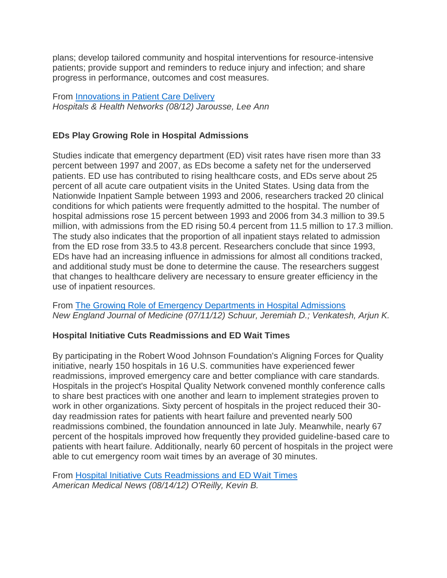plans; develop tailored community and hospital interventions for resource-intensive patients; provide support and reminders to reduce injury and infection; and share progress in performance, outcomes and cost measures.

From [Innovations in Patient Care Delivery](http://www.mmsend53.com/link.cfm?r=284884120&sid=20443500&m=2254160&u=ACHE&j=11207661&s=http://www.hhnmag.com/hhnmag/jsp/articledisplay.jsp?dcrpath=HHNMAG/Article/data/08AUG2012/0812HHN_FEA_InnovationsGATE&domain=HHNMAG) *Hospitals & Health Networks (08/12) Jarousse, Lee Ann*

## **EDs Play Growing Role in Hospital Admissions**

Studies indicate that emergency department (ED) visit rates have risen more than 33 percent between 1997 and 2007, as EDs become a safety net for the underserved patients. ED use has contributed to rising healthcare costs, and EDs serve about 25 percent of all acute care outpatient visits in the United States. Using data from the Nationwide Inpatient Sample between 1993 and 2006, researchers tracked 20 clinical conditions for which patients were frequently admitted to the hospital. The number of hospital admissions rose 15 percent between 1993 and 2006 from 34.3 million to 39.5 million, with admissions from the ED rising 50.4 percent from 11.5 million to 17.3 million. The study also indicates that the proportion of all inpatient stays related to admission from the ED rose from 33.5 to 43.8 percent. Researchers conclude that since 1993, EDs have had an increasing influence in admissions for almost all conditions tracked, and additional study must be done to determine the cause. The researchers suggest that changes to healthcare delivery are necessary to ensure greater efficiency in the use of inpatient resources.

From [The Growing Role of Emergency Departments in Hospital Admissions](http://www.mmsend53.com/link.cfm?r=284884120&sid=19845013&m=2158105&u=ACHE&j=10826571&s=http://www.nejm.org/doi/full/10.1056/NEJMp1204431?query=TOC) *New England Journal of Medicine (07/11/12) Schuur, Jeremiah D.; Venkatesh, Arjun K.*

## **Hospital Initiative Cuts Readmissions and ED Wait Times**

By participating in the Robert Wood Johnson Foundation's Aligning Forces for Quality initiative, nearly 150 hospitals in 16 U.S. communities have experienced fewer readmissions, improved emergency care and better compliance with care standards. Hospitals in the project's Hospital Quality Network convened monthly conference calls to share best practices with one another and learn to implement strategies proven to work in other organizations. Sixty percent of hospitals in the project reduced their 30 day readmission rates for patients with heart failure and prevented nearly 500 readmissions combined, the foundation announced in late July. Meanwhile, nearly 67 percent of the hospitals improved how frequently they provided guideline-based care to patients with heart failure. Additionally, nearly 60 percent of hospitals in the project were able to cut emergency room wait times by an average of 30 minutes.

From [Hospital Initiative Cuts Readmissions and ED Wait Times](http://www.mmsend53.com/link.cfm?r=284884120&sid=20443504&m=2254160&u=ACHE&j=11207661&s=http://www.ama-assn.org/amednews/2012/08/13/prsc0814.htm) *American Medical News (08/14/12) O'Reilly, Kevin B.*